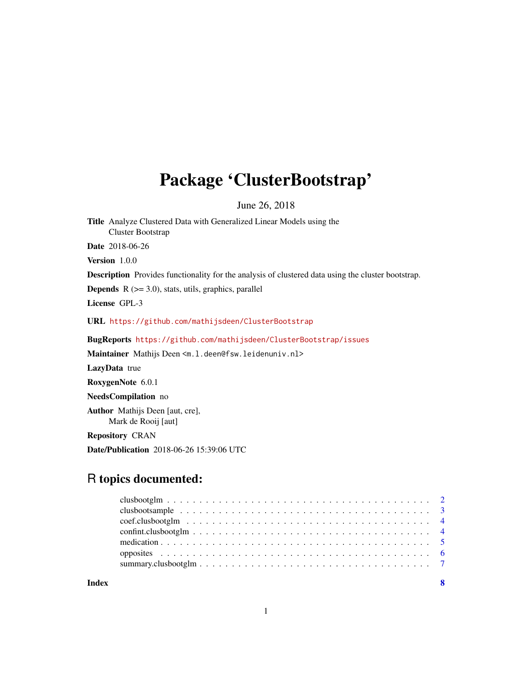## Package 'ClusterBootstrap'

June 26, 2018

Title Analyze Clustered Data with Generalized Linear Models using the Cluster Bootstrap Date 2018-06-26 Version 1.0.0 Description Provides functionality for the analysis of clustered data using the cluster bootstrap. **Depends**  $R$  ( $>= 3.0$ ), stats, utils, graphics, parallel License GPL-3 URL <https://github.com/mathijsdeen/ClusterBootstrap> BugReports <https://github.com/mathijsdeen/ClusterBootstrap/issues> Maintainer Mathijs Deen <m.1.deen@fsw.leidenuniv.nl>

LazyData true RoxygenNote 6.0.1 NeedsCompilation no Author Mathijs Deen [aut, cre], Mark de Rooij [aut] Repository CRAN

### R topics documented:

Date/Publication 2018-06-26 15:39:06 UTC

**Index** [8](#page-7-0) **8**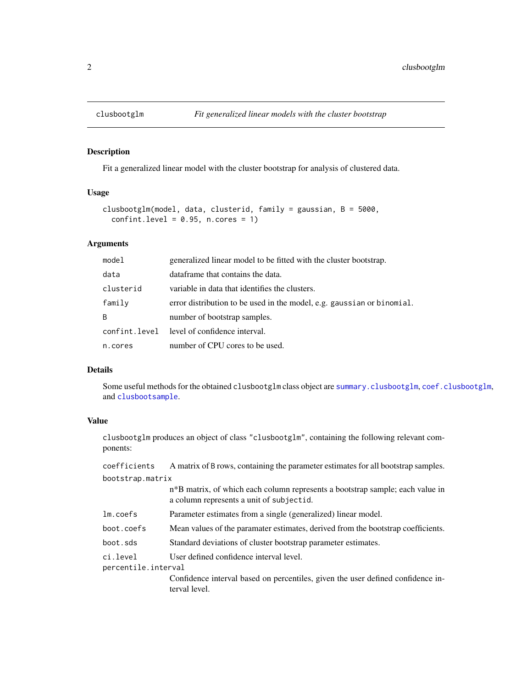<span id="page-1-0"></span>

#### Description

Fit a generalized linear model with the cluster bootstrap for analysis of clustered data.

#### Usage

```
clusbootglm(model, data, clusterid, family = gaussian, B = 5000,
  confint. level = 0.95, n. cores = 1)
```
#### Arguments

| model     | generalized linear model to be fitted with the cluster bootstrap.      |
|-----------|------------------------------------------------------------------------|
| data      | dataframe that contains the data.                                      |
| clusterid | variable in data that identifies the clusters.                         |
| family    | error distribution to be used in the model, e.g. gaussian or binomial. |
| B         | number of bootstrap samples.                                           |
|           | confint. level level of confidence interval.                           |
| n.cores   | number of CPU cores to be used.                                        |

#### Details

Some useful methods for the obtained clusbootglm class object are [summary.clusbootglm](#page-6-1), [coef.clusbootglm](#page-3-1), and [clusbootsample](#page-2-1).

#### Value

clusbootglm produces an object of class "clusbootglm", containing the following relevant components:

| coefficients                    | A matrix of B rows, containing the parameter estimates for all bootstrap samples.                                                      |  |
|---------------------------------|----------------------------------------------------------------------------------------------------------------------------------------|--|
| bootstrap.matrix                |                                                                                                                                        |  |
|                                 | n <sup>*</sup> B matrix, of which each column represents a bootstrap sample; each value in<br>a column represents a unit of subjectid. |  |
| lm.coefs                        | Parameter estimates from a single (generalized) linear model.                                                                          |  |
| boot.coefs                      | Mean values of the paramater estimates, derived from the bootstrap coefficients.                                                       |  |
| boot.sds                        | Standard deviations of cluster bootstrap parameter estimates.                                                                          |  |
| ci.level<br>percentile.interval | User defined confidence interval level.                                                                                                |  |
|                                 | Confidence interval based on percentiles, given the user defined confidence in-<br>terval level.                                       |  |
|                                 |                                                                                                                                        |  |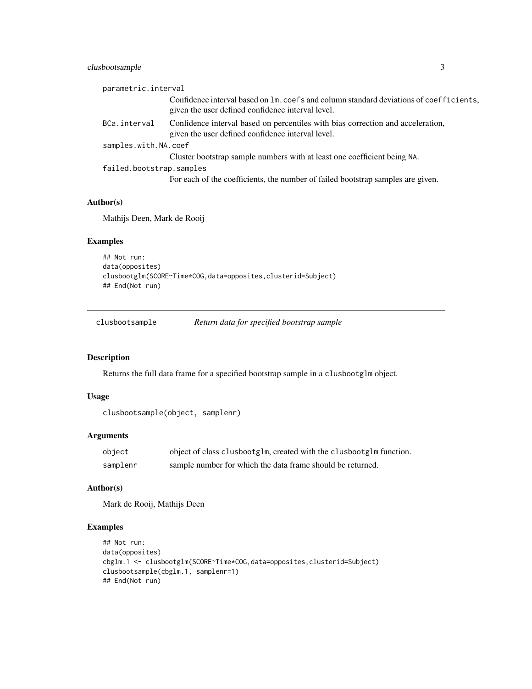#### <span id="page-2-0"></span>clusbootsample 3

| parametric.interval      |                                                                                                                                               |
|--------------------------|-----------------------------------------------------------------------------------------------------------------------------------------------|
|                          | Confidence interval based on $lm.$ coefs and column standard deviations of coefficients,<br>given the user defined confidence interval level. |
| BCa.interval             | Confidence interval based on percentiles with bias correction and acceleration,<br>given the user defined confidence interval level.          |
| samples.with.NA.coef     |                                                                                                                                               |
|                          | Cluster bootstrap sample numbers with at least one coefficient being NA.                                                                      |
| failed.bootstrap.samples |                                                                                                                                               |
|                          | For each of the coefficients, the number of failed bootstrap samples are given.                                                               |

#### Author(s)

Mathijs Deen, Mark de Rooij

#### Examples

```
## Not run:
data(opposites)
clusbootglm(SCORE~Time*COG,data=opposites,clusterid=Subject)
## End(Not run)
```
<span id="page-2-1"></span>clusbootsample *Return data for specified bootstrap sample*

#### Description

Returns the full data frame for a specified bootstrap sample in a clusbootglm object.

#### Usage

```
clusbootsample(object, samplenr)
```
#### Arguments

| object   | object of class clusbootglm, created with the clusbootglm function. |
|----------|---------------------------------------------------------------------|
| samplenr | sample number for which the data frame should be returned.          |

#### Author(s)

Mark de Rooij, Mathijs Deen

#### Examples

```
## Not run:
data(opposites)
cbglm.1 <- clusbootglm(SCORE~Time*COG,data=opposites,clusterid=Subject)
clusbootsample(cbglm.1, samplenr=1)
## End(Not run)
```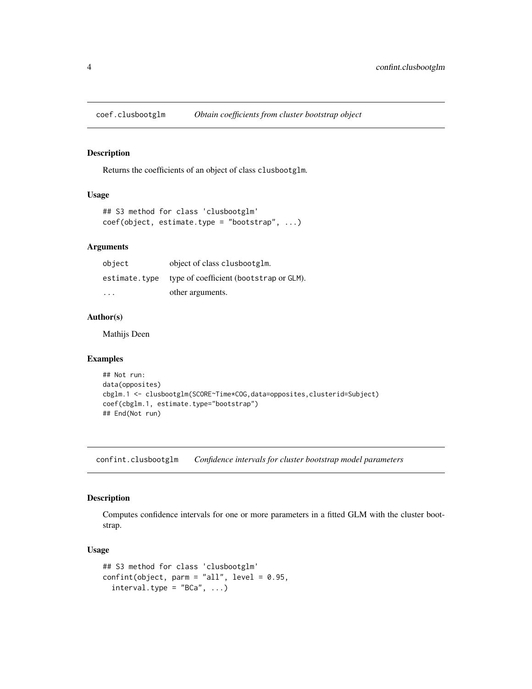<span id="page-3-1"></span><span id="page-3-0"></span>

#### Description

Returns the coefficients of an object of class clusbootglm.

#### Usage

```
## S3 method for class 'clusbootglm'
coef(object, estimate.type = "bootstrap", ...)
```
#### Arguments

| object        | object of class clusbootglm.            |
|---------------|-----------------------------------------|
| estimate.tvpe | type of coefficient (bootstrap or GLM). |
| .             | other arguments.                        |

#### Author(s)

Mathijs Deen

#### Examples

```
## Not run:
data(opposites)
cbglm.1 <- clusbootglm(SCORE~Time*COG,data=opposites,clusterid=Subject)
coef(cbglm.1, estimate.type="bootstrap")
## End(Not run)
```
confint.clusbootglm *Confidence intervals for cluster bootstrap model parameters*

#### Description

Computes confidence intervals for one or more parameters in a fitted GLM with the cluster bootstrap.

#### Usage

```
## S3 method for class 'clusbootglm'
confint(object, parm = "all", level = 0.95,
  interval.\text{type} = "BCa", ...
```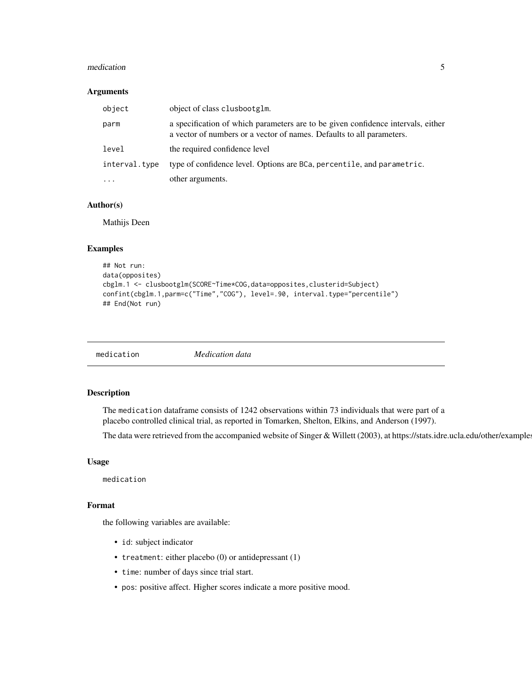#### <span id="page-4-0"></span>medication 5

#### Arguments

| object        | object of class clusbootglm.                                                                                                                              |
|---------------|-----------------------------------------------------------------------------------------------------------------------------------------------------------|
| parm          | a specification of which parameters are to be given confidence intervals, either<br>a vector of numbers or a vector of names. Defaults to all parameters. |
| level         | the required confidence level                                                                                                                             |
| interval.type | type of confidence level. Options are BCa, percentile, and parametric.                                                                                    |
| $\cdots$      | other arguments.                                                                                                                                          |

#### Author(s)

Mathijs Deen

#### Examples

```
## Not run:
data(opposites)
cbglm.1 <- clusbootglm(SCORE~Time*COG,data=opposites,clusterid=Subject)
confint(cbglm.1,parm=c("Time","COG"), level=.90, interval.type="percentile")
## End(Not run)
```

| <i>Medication data</i><br>medication |
|--------------------------------------|
|--------------------------------------|

#### Description

The medication dataframe consists of 1242 observations within 73 individuals that were part of a placebo controlled clinical trial, as reported in Tomarken, Shelton, Elkins, and Anderson (1997).

The data were retrieved from the accompanied website of Singer & Willett (2003), at https://stats.idre.ucla.edu/other/example

#### Usage

medication

#### Format

the following variables are available:

- id: subject indicator
- treatment: either placebo (0) or antidepressant (1)
- time: number of days since trial start.
- pos: positive affect. Higher scores indicate a more positive mood.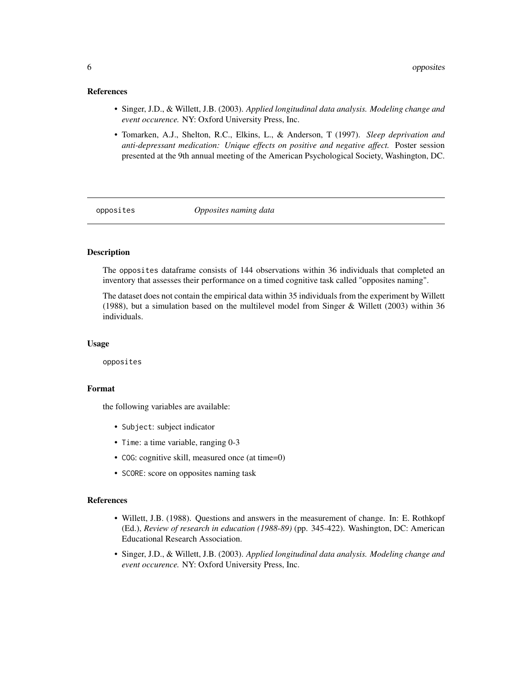#### <span id="page-5-0"></span>References

- Singer, J.D., & Willett, J.B. (2003). *Applied longitudinal data analysis. Modeling change and event occurence.* NY: Oxford University Press, Inc.
- Tomarken, A.J., Shelton, R.C., Elkins, L., & Anderson, T (1997). *Sleep deprivation and anti-depressant medication: Unique effects on positive and negative affect.* Poster session presented at the 9th annual meeting of the American Psychological Society, Washington, DC.

opposites *Opposites naming data*

#### Description

The opposites dataframe consists of 144 observations within 36 individuals that completed an inventory that assesses their performance on a timed cognitive task called "opposites naming".

The dataset does not contain the empirical data within 35 individuals from the experiment by Willett (1988), but a simulation based on the multilevel model from Singer & Willett (2003) within 36 individuals.

#### Usage

opposites

#### Format

the following variables are available:

- Subject: subject indicator
- Time: a time variable, ranging 0-3
- COG: cognitive skill, measured once (at time=0)
- SCORE: score on opposites naming task

#### References

- Willett, J.B. (1988). Questions and answers in the measurement of change. In: E. Rothkopf (Ed.), *Review of research in education (1988-89)* (pp. 345-422). Washington, DC: American Educational Research Association.
- Singer, J.D., & Willett, J.B. (2003). *Applied longitudinal data analysis. Modeling change and event occurence.* NY: Oxford University Press, Inc.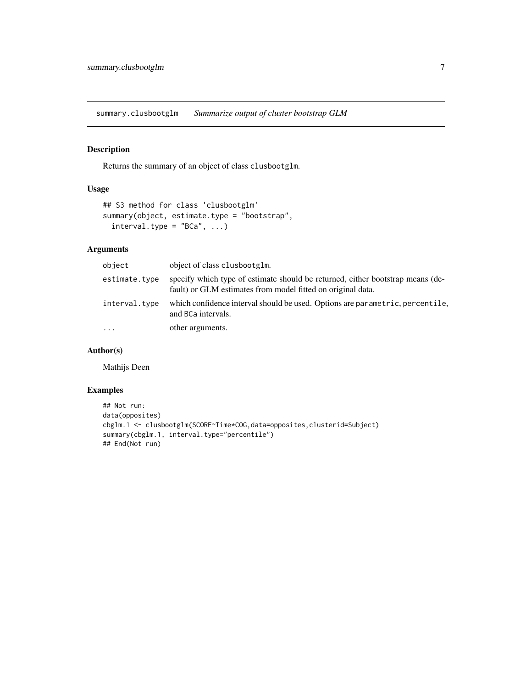<span id="page-6-1"></span><span id="page-6-0"></span>summary.clusbootglm *Summarize output of cluster bootstrap GLM*

#### Description

Returns the summary of an object of class clusbootglm.

#### Usage

```
## S3 method for class 'clusbootglm'
summary(object, estimate.type = "bootstrap",
  interval.\text{type} = "BCa", ...)
```
#### Arguments

| object        | object of class clusbootglm.                                                                                                                  |
|---------------|-----------------------------------------------------------------------------------------------------------------------------------------------|
| estimate.type | specify which type of estimate should be returned, either bootstrap means (de-<br>fault) or GLM estimates from model fitted on original data. |
| interval.type | which confidence interval should be used. Options are parametric, percentile,<br>and BCa intervals.                                           |
| $\cdots$      | other arguments.                                                                                                                              |

#### Author(s)

Mathijs Deen

#### Examples

```
## Not run:
data(opposites)
cbglm.1 <- clusbootglm(SCORE~Time*COG,data=opposites,clusterid=Subject)
summary(cbglm.1, interval.type="percentile")
## End(Not run)
```